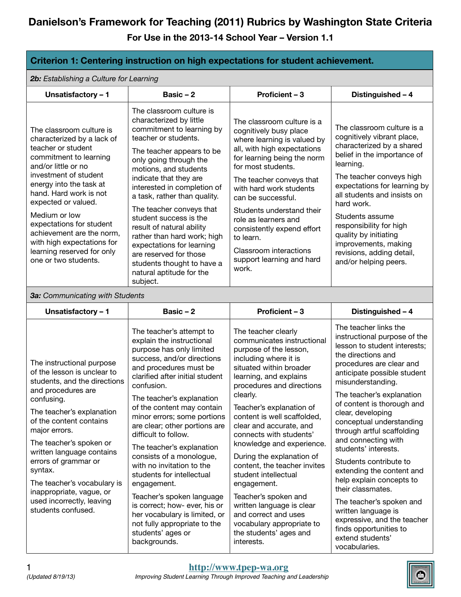**For Use in the 2013-14 School Year – Version 1.1**

| Criterion 1: Centering instruction on high expectations for student achievement.                                                                                                                                                                                                                                                                                                                               |                                                                                                                                                                                                                                                                                                                                                                                                                                                                                                                                                                                                                                     |                                                                                                                                                                                                                                                                                                                                                                                                                                                                                                                                                                                          |                                                                                                                                                                                                                                                                                                                                                                                                                                                                                                                                                                                                          |  |
|----------------------------------------------------------------------------------------------------------------------------------------------------------------------------------------------------------------------------------------------------------------------------------------------------------------------------------------------------------------------------------------------------------------|-------------------------------------------------------------------------------------------------------------------------------------------------------------------------------------------------------------------------------------------------------------------------------------------------------------------------------------------------------------------------------------------------------------------------------------------------------------------------------------------------------------------------------------------------------------------------------------------------------------------------------------|------------------------------------------------------------------------------------------------------------------------------------------------------------------------------------------------------------------------------------------------------------------------------------------------------------------------------------------------------------------------------------------------------------------------------------------------------------------------------------------------------------------------------------------------------------------------------------------|----------------------------------------------------------------------------------------------------------------------------------------------------------------------------------------------------------------------------------------------------------------------------------------------------------------------------------------------------------------------------------------------------------------------------------------------------------------------------------------------------------------------------------------------------------------------------------------------------------|--|
| 2b: Establishing a Culture for Learning                                                                                                                                                                                                                                                                                                                                                                        |                                                                                                                                                                                                                                                                                                                                                                                                                                                                                                                                                                                                                                     |                                                                                                                                                                                                                                                                                                                                                                                                                                                                                                                                                                                          |                                                                                                                                                                                                                                                                                                                                                                                                                                                                                                                                                                                                          |  |
| Unsatisfactory - 1                                                                                                                                                                                                                                                                                                                                                                                             | Basic $-2$                                                                                                                                                                                                                                                                                                                                                                                                                                                                                                                                                                                                                          | Proficient - 3                                                                                                                                                                                                                                                                                                                                                                                                                                                                                                                                                                           | Distinguished - 4                                                                                                                                                                                                                                                                                                                                                                                                                                                                                                                                                                                        |  |
| The classroom culture is<br>characterized by a lack of<br>teacher or student<br>commitment to learning<br>and/or little or no<br>investment of student<br>energy into the task at<br>hand. Hard work is not<br>expected or valued.<br>Medium or low<br>expectations for student<br>achievement are the norm,<br>with high expectations for<br>learning reserved for only<br>one or two students.               | The classroom culture is<br>characterized by little<br>commitment to learning by<br>teacher or students.<br>The teacher appears to be<br>only going through the<br>motions, and students<br>indicate that they are<br>interested in completion of<br>a task, rather than quality.<br>The teacher conveys that<br>student success is the<br>result of natural ability<br>rather than hard work; high<br>expectations for learning<br>are reserved for those<br>students thought to have a<br>natural aptitude for the<br>subject.                                                                                                    | The classroom culture is a<br>cognitively busy place<br>where learning is valued by<br>all, with high expectations<br>for learning being the norm<br>for most students.<br>The teacher conveys that<br>with hard work students<br>can be successful.<br>Students understand their<br>role as learners and<br>consistently expend effort<br>to learn.<br>Classroom interactions<br>support learning and hard<br>work.                                                                                                                                                                     | The classroom culture is a<br>cognitively vibrant place,<br>characterized by a shared<br>belief in the importance of<br>learning.<br>The teacher conveys high<br>expectations for learning by<br>all students and insists on<br>hard work.<br>Students assume<br>responsibility for high<br>quality by initiating<br>improvements, making<br>revisions, adding detail,<br>and/or helping peers.                                                                                                                                                                                                          |  |
| 3a: Communicating with Students                                                                                                                                                                                                                                                                                                                                                                                |                                                                                                                                                                                                                                                                                                                                                                                                                                                                                                                                                                                                                                     |                                                                                                                                                                                                                                                                                                                                                                                                                                                                                                                                                                                          |                                                                                                                                                                                                                                                                                                                                                                                                                                                                                                                                                                                                          |  |
| Unsatisfactory - 1                                                                                                                                                                                                                                                                                                                                                                                             | Basic $-2$                                                                                                                                                                                                                                                                                                                                                                                                                                                                                                                                                                                                                          | Proficient - 3                                                                                                                                                                                                                                                                                                                                                                                                                                                                                                                                                                           | Distinguished - 4                                                                                                                                                                                                                                                                                                                                                                                                                                                                                                                                                                                        |  |
| The instructional purpose<br>of the lesson is unclear to<br>students, and the directions<br>and procedures are<br>confusing.<br>The teacher's explanation<br>of the content contains<br>major errors.<br>The teacher's spoken or<br>written language contains<br>errors of grammar or<br>syntax.<br>The teacher's vocabulary is<br>inappropriate, vague, or<br>used incorrectly, leaving<br>students confused. | The teacher's attempt to<br>explain the instructional<br>purpose has only limited<br>success, and/or directions<br>and procedures must be<br>clarified after initial student<br>confusion.<br>The teacher's explanation<br>of the content may contain<br>minor errors; some portions<br>are clear; other portions are<br>difficult to follow.<br>The teacher's explanation<br>consists of a monologue,<br>with no invitation to the<br>students for intellectual<br>engagement.<br>Teacher's spoken language<br>is correct; how- ever, his or<br>her vocabulary is limited, or<br>not fully appropriate to the<br>students' ages or | The teacher clearly<br>communicates instructional<br>purpose of the lesson,<br>including where it is<br>situated within broader<br>learning, and explains<br>procedures and directions<br>clearly.<br>Teacher's explanation of<br>content is well scaffolded,<br>clear and accurate, and<br>connects with students'<br>knowledge and experience.<br>During the explanation of<br>content, the teacher invites<br>student intellectual<br>engagement.<br>Teacher's spoken and<br>written language is clear<br>and correct and uses<br>vocabulary appropriate to<br>the students' ages and | The teacher links the<br>instructional purpose of the<br>lesson to student interests;<br>the directions and<br>procedures are clear and<br>anticipate possible student<br>misunderstanding.<br>The teacher's explanation<br>of content is thorough and<br>clear, developing<br>conceptual understanding<br>through artful scaffolding<br>and connecting with<br>students' interests.<br>Students contribute to<br>extending the content and<br>help explain concepts to<br>their classmates.<br>The teacher's spoken and<br>written language is<br>expressive, and the teacher<br>finds opportunities to |  |



vocabularies.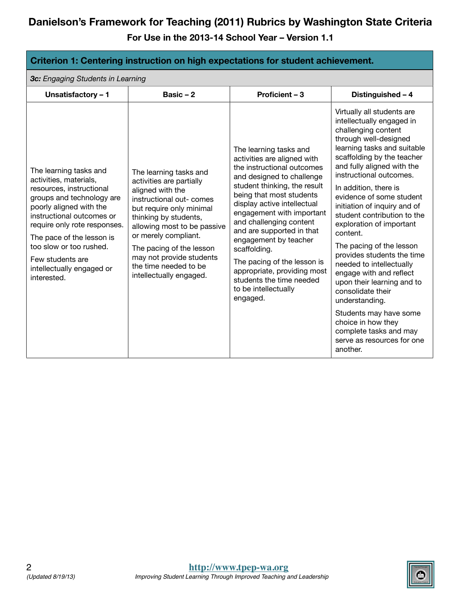| Criterion 1: Centering instruction on high expectations for student achievement.                                                                                                                                                                                                                                          |                                                                                                                                                                                                                                                                                                                            |                                                                                                                                                                                                                                                                                                                                                                                                                                                                         |                                                                                                                                                                                                                                                                                                                                                                                                                                                                                                                                                                                                                                                                                                     |
|---------------------------------------------------------------------------------------------------------------------------------------------------------------------------------------------------------------------------------------------------------------------------------------------------------------------------|----------------------------------------------------------------------------------------------------------------------------------------------------------------------------------------------------------------------------------------------------------------------------------------------------------------------------|-------------------------------------------------------------------------------------------------------------------------------------------------------------------------------------------------------------------------------------------------------------------------------------------------------------------------------------------------------------------------------------------------------------------------------------------------------------------------|-----------------------------------------------------------------------------------------------------------------------------------------------------------------------------------------------------------------------------------------------------------------------------------------------------------------------------------------------------------------------------------------------------------------------------------------------------------------------------------------------------------------------------------------------------------------------------------------------------------------------------------------------------------------------------------------------------|
| 3c: Engaging Students in Learning                                                                                                                                                                                                                                                                                         |                                                                                                                                                                                                                                                                                                                            |                                                                                                                                                                                                                                                                                                                                                                                                                                                                         |                                                                                                                                                                                                                                                                                                                                                                                                                                                                                                                                                                                                                                                                                                     |
| Unsatisfactory - 1                                                                                                                                                                                                                                                                                                        | Basic $-2$                                                                                                                                                                                                                                                                                                                 | Proficient - 3                                                                                                                                                                                                                                                                                                                                                                                                                                                          | Distinguished - 4                                                                                                                                                                                                                                                                                                                                                                                                                                                                                                                                                                                                                                                                                   |
| The learning tasks and<br>activities, materials,<br>resources, instructional<br>groups and technology are<br>poorly aligned with the<br>instructional outcomes or<br>require only rote responses.<br>The pace of the lesson is<br>too slow or too rushed.<br>Few students are<br>intellectually engaged or<br>interested. | The learning tasks and<br>activities are partially<br>aligned with the<br>instructional out- comes<br>but require only minimal<br>thinking by students,<br>allowing most to be passive<br>or merely compliant.<br>The pacing of the lesson<br>may not provide students<br>the time needed to be<br>intellectually engaged. | The learning tasks and<br>activities are aligned with<br>the instructional outcomes<br>and designed to challenge<br>student thinking, the result<br>being that most students<br>display active intellectual<br>engagement with important<br>and challenging content<br>and are supported in that<br>engagement by teacher<br>scaffolding.<br>The pacing of the lesson is<br>appropriate, providing most<br>students the time needed<br>to be intellectually<br>engaged. | Virtually all students are<br>intellectually engaged in<br>challenging content<br>through well-designed<br>learning tasks and suitable<br>scaffolding by the teacher<br>and fully aligned with the<br>instructional outcomes.<br>In addition, there is<br>evidence of some student<br>initiation of inquiry and of<br>student contribution to the<br>exploration of important<br>content.<br>The pacing of the lesson<br>provides students the time<br>needed to intellectually<br>engage with and reflect<br>upon their learning and to<br>consolidate their<br>understanding.<br>Students may have some<br>choice in how they<br>complete tasks and may<br>serve as resources for one<br>another. |

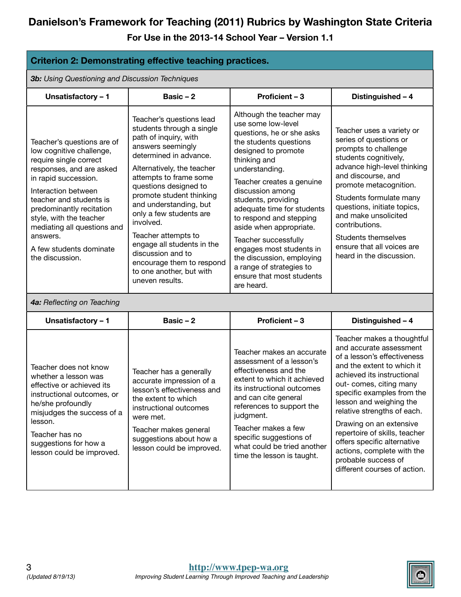| <b>Criterion 2: Demonstrating effective teaching practices.</b>                                                                                                                                                                                                                                                                        |                                                                                                                                                                                                                                                                                                                                                                                                                                                                    |                                                                                                                                                                                                                                                                                                                                                                                                                                                                                    |                                                                                                                                                                                                                                                                                                                                                                                                                                                     |
|----------------------------------------------------------------------------------------------------------------------------------------------------------------------------------------------------------------------------------------------------------------------------------------------------------------------------------------|--------------------------------------------------------------------------------------------------------------------------------------------------------------------------------------------------------------------------------------------------------------------------------------------------------------------------------------------------------------------------------------------------------------------------------------------------------------------|------------------------------------------------------------------------------------------------------------------------------------------------------------------------------------------------------------------------------------------------------------------------------------------------------------------------------------------------------------------------------------------------------------------------------------------------------------------------------------|-----------------------------------------------------------------------------------------------------------------------------------------------------------------------------------------------------------------------------------------------------------------------------------------------------------------------------------------------------------------------------------------------------------------------------------------------------|
| 3b: Using Questioning and Discussion Techniques                                                                                                                                                                                                                                                                                        |                                                                                                                                                                                                                                                                                                                                                                                                                                                                    |                                                                                                                                                                                                                                                                                                                                                                                                                                                                                    |                                                                                                                                                                                                                                                                                                                                                                                                                                                     |
| Unsatisfactory - 1                                                                                                                                                                                                                                                                                                                     | Basic $-2$                                                                                                                                                                                                                                                                                                                                                                                                                                                         | Proficient - 3                                                                                                                                                                                                                                                                                                                                                                                                                                                                     | Distinguished - 4                                                                                                                                                                                                                                                                                                                                                                                                                                   |
| Teacher's questions are of<br>low cognitive challenge,<br>require single correct<br>responses, and are asked<br>in rapid succession.<br>Interaction between<br>teacher and students is<br>predominantly recitation<br>style, with the teacher<br>mediating all questions and<br>answers.<br>A few students dominate<br>the discussion. | Teacher's questions lead<br>students through a single<br>path of inquiry, with<br>answers seemingly<br>determined in advance.<br>Alternatively, the teacher<br>attempts to frame some<br>questions designed to<br>promote student thinking<br>and understanding, but<br>only a few students are<br>involved.<br>Teacher attempts to<br>engage all students in the<br>discussion and to<br>encourage them to respond<br>to one another, but with<br>uneven results. | Although the teacher may<br>use some low-level<br>questions, he or she asks<br>the students questions<br>designed to promote<br>thinking and<br>understanding.<br>Teacher creates a genuine<br>discussion among<br>students, providing<br>adequate time for students<br>to respond and stepping<br>aside when appropriate.<br>Teacher successfully<br>engages most students in<br>the discussion, employing<br>a range of strategies to<br>ensure that most students<br>are heard. | Teacher uses a variety or<br>series of questions or<br>prompts to challenge<br>students cognitively,<br>advance high-level thinking<br>and discourse, and<br>promote metacognition.<br>Students formulate many<br>questions, initiate topics,<br>and make unsolicited<br>contributions.<br><b>Students themselves</b><br>ensure that all voices are<br>heard in the discussion.                                                                     |
| 4a: Reflecting on Teaching                                                                                                                                                                                                                                                                                                             |                                                                                                                                                                                                                                                                                                                                                                                                                                                                    |                                                                                                                                                                                                                                                                                                                                                                                                                                                                                    |                                                                                                                                                                                                                                                                                                                                                                                                                                                     |
| Unsatisfactory - 1                                                                                                                                                                                                                                                                                                                     | Basic $-2$                                                                                                                                                                                                                                                                                                                                                                                                                                                         | Proficient - 3                                                                                                                                                                                                                                                                                                                                                                                                                                                                     | Distinguished - 4                                                                                                                                                                                                                                                                                                                                                                                                                                   |
| Teacher does not know<br>whether a lesson was<br>effective or achieved its<br>instructional outcomes, or<br>he/she profoundly<br>misjudges the success of a<br>lesson.<br>Teacher has no<br>suggestions for how a<br>lesson could be improved.                                                                                         | Teacher has a generally<br>accurate impression of a<br>lesson's effectiveness and<br>the extent to which<br>instructional outcomes<br>were met.<br>Teacher makes general<br>suggestions about how a<br>lesson could be improved.                                                                                                                                                                                                                                   | Teacher makes an accurate<br>assessment of a lesson's<br>effectiveness and the<br>extent to which it achieved<br>its instructional outcomes<br>and can cite general<br>references to support the<br>judgment.<br>Teacher makes a few<br>specific suggestions of<br>what could be tried another<br>time the lesson is taught.                                                                                                                                                       | Teacher makes a thoughtful<br>and accurate assessment<br>of a lesson's effectiveness<br>and the extent to which it<br>achieved its instructional<br>out- comes, citing many<br>specific examples from the<br>lesson and weighing the<br>relative strengths of each.<br>Drawing on an extensive<br>repertoire of skills, teacher<br>offers specific alternative<br>actions, complete with the<br>probable success of<br>different courses of action. |

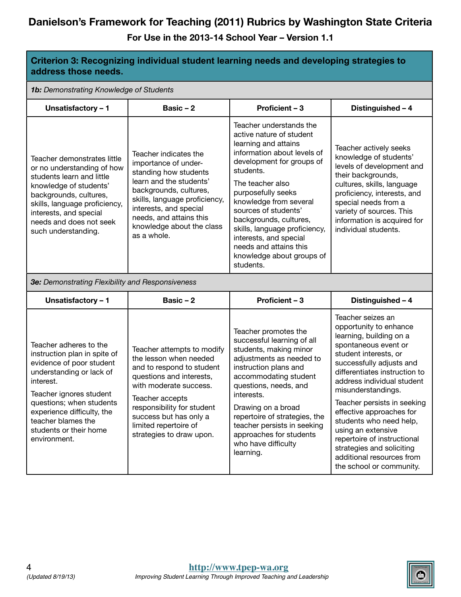| Criterion 3: Recognizing individual student learning needs and developing strategies to<br>address those needs.                                                                                                                                                                  |                                                                                                                                                                                                                                                                         |                                                                                                                                                                                                                                                                                                                                                                                                           |                                                                                                                                                                                                                                                                                                                                                                                                                                                                           |  |
|----------------------------------------------------------------------------------------------------------------------------------------------------------------------------------------------------------------------------------------------------------------------------------|-------------------------------------------------------------------------------------------------------------------------------------------------------------------------------------------------------------------------------------------------------------------------|-----------------------------------------------------------------------------------------------------------------------------------------------------------------------------------------------------------------------------------------------------------------------------------------------------------------------------------------------------------------------------------------------------------|---------------------------------------------------------------------------------------------------------------------------------------------------------------------------------------------------------------------------------------------------------------------------------------------------------------------------------------------------------------------------------------------------------------------------------------------------------------------------|--|
| 1b: Demonstrating Knowledge of Students                                                                                                                                                                                                                                          |                                                                                                                                                                                                                                                                         |                                                                                                                                                                                                                                                                                                                                                                                                           |                                                                                                                                                                                                                                                                                                                                                                                                                                                                           |  |
| Unsatisfactory - 1                                                                                                                                                                                                                                                               | Basic-2                                                                                                                                                                                                                                                                 | Proficient - 3                                                                                                                                                                                                                                                                                                                                                                                            | Distinguished - 4                                                                                                                                                                                                                                                                                                                                                                                                                                                         |  |
| Teacher demonstrates little<br>or no understanding of how<br>students learn and little<br>knowledge of students'<br>backgrounds, cultures,<br>skills, language proficiency,<br>interests, and special<br>needs and does not seek<br>such understanding.                          | Teacher indicates the<br>importance of under-<br>standing how students<br>learn and the students'<br>backgrounds, cultures,<br>skills, language proficiency,<br>interests, and special<br>needs, and attains this<br>knowledge about the class<br>as a whole.           | Teacher understands the<br>active nature of student<br>learning and attains<br>information about levels of<br>development for groups of<br>students.<br>The teacher also<br>purposefully seeks<br>knowledge from several<br>sources of students'<br>backgrounds, cultures,<br>skills, language proficiency,<br>interests, and special<br>needs and attains this<br>knowledge about groups of<br>students. | Teacher actively seeks<br>knowledge of students'<br>levels of development and<br>their backgrounds,<br>cultures, skills, language<br>proficiency, interests, and<br>special needs from a<br>variety of sources. This<br>information is acquired for<br>individual students.                                                                                                                                                                                               |  |
| 3e: Demonstrating Flexibility and Responsiveness                                                                                                                                                                                                                                 |                                                                                                                                                                                                                                                                         |                                                                                                                                                                                                                                                                                                                                                                                                           |                                                                                                                                                                                                                                                                                                                                                                                                                                                                           |  |
| Unsatisfactory - 1                                                                                                                                                                                                                                                               | Basic-2                                                                                                                                                                                                                                                                 | Proficient - 3                                                                                                                                                                                                                                                                                                                                                                                            | Distinguished - 4                                                                                                                                                                                                                                                                                                                                                                                                                                                         |  |
| Teacher adheres to the<br>instruction plan in spite of<br>evidence of poor student<br>understanding or lack of<br>interest.<br>Teacher ignores student<br>questions; when students<br>experience difficulty, the<br>teacher blames the<br>students or their home<br>environment. | Teacher attempts to modify<br>the lesson when needed<br>and to respond to student<br>questions and interests,<br>with moderate success.<br>Teacher accepts<br>responsibility for student<br>success but has only a<br>limited repertoire of<br>strategies to draw upon. | Teacher promotes the<br>successful learning of all<br>students, making minor<br>adjustments as needed to<br>instruction plans and<br>accommodating student<br>questions, needs, and<br>interests.<br>Drawing on a broad<br>repertoire of strategies, the<br>teacher persists in seeking<br>approaches for students<br>who have difficulty<br>learning.                                                    | Teacher seizes an<br>opportunity to enhance<br>learning, building on a<br>spontaneous event or<br>student interests, or<br>successfully adjusts and<br>differentiates instruction to<br>address individual student<br>misunderstandings.<br>Teacher persists in seeking<br>effective approaches for<br>students who need help,<br>using an extensive<br>repertoire of instructional<br>strategies and soliciting<br>additional resources from<br>the school or community. |  |

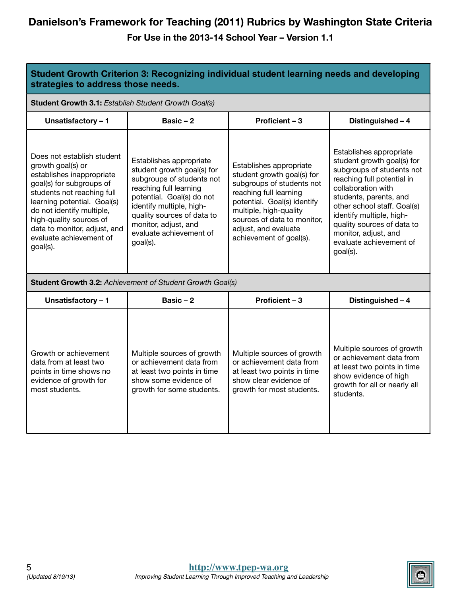| Student Growth Criterion 3: Recognizing individual student learning needs and developing<br>strategies to address those needs.                                                                                                                                                                       |                                                                                                                                                                                                                                                                    |                                                                                                                                                                                                                                                         |                                                                                                                                                                                                                                                                                                                          |  |
|------------------------------------------------------------------------------------------------------------------------------------------------------------------------------------------------------------------------------------------------------------------------------------------------------|--------------------------------------------------------------------------------------------------------------------------------------------------------------------------------------------------------------------------------------------------------------------|---------------------------------------------------------------------------------------------------------------------------------------------------------------------------------------------------------------------------------------------------------|--------------------------------------------------------------------------------------------------------------------------------------------------------------------------------------------------------------------------------------------------------------------------------------------------------------------------|--|
| Student Growth 3.1: Establish Student Growth Goal(s)                                                                                                                                                                                                                                                 |                                                                                                                                                                                                                                                                    |                                                                                                                                                                                                                                                         |                                                                                                                                                                                                                                                                                                                          |  |
| Unsatisfactory - 1                                                                                                                                                                                                                                                                                   | Basic $-2$                                                                                                                                                                                                                                                         | <b>Proficient - 3</b>                                                                                                                                                                                                                                   | Distinguished - 4                                                                                                                                                                                                                                                                                                        |  |
| Does not establish student<br>growth goal(s) or<br>establishes inappropriate<br>goal(s) for subgroups of<br>students not reaching full<br>learning potential. Goal(s)<br>do not identify multiple,<br>high-quality sources of<br>data to monitor, adjust, and<br>evaluate achievement of<br>goal(s). | Establishes appropriate<br>student growth goal(s) for<br>subgroups of students not<br>reaching full learning<br>potential. Goal(s) do not<br>identify multiple, high-<br>quality sources of data to<br>monitor, adjust, and<br>evaluate achievement of<br>goal(s). | Establishes appropriate<br>student growth goal(s) for<br>subgroups of students not<br>reaching full learning<br>potential. Goal(s) identify<br>multiple, high-quality<br>sources of data to monitor,<br>adjust, and evaluate<br>achievement of goal(s). | Establishes appropriate<br>student growth goal(s) for<br>subgroups of students not<br>reaching full potential in<br>collaboration with<br>students, parents, and<br>other school staff. Goal(s)<br>identify multiple, high-<br>quality sources of data to<br>monitor, adjust, and<br>evaluate achievement of<br>goal(s). |  |
|                                                                                                                                                                                                                                                                                                      | Student Growth 3.2: Achievement of Student Growth Goal(s)                                                                                                                                                                                                          |                                                                                                                                                                                                                                                         |                                                                                                                                                                                                                                                                                                                          |  |
| Unsatisfactory - 1                                                                                                                                                                                                                                                                                   | Basic $-2$                                                                                                                                                                                                                                                         | <b>Proficient - 3</b>                                                                                                                                                                                                                                   | Distinguished - 4                                                                                                                                                                                                                                                                                                        |  |
| Growth or achievement<br>data from at least two<br>points in time shows no<br>evidence of growth for<br>most students.                                                                                                                                                                               | Multiple sources of growth<br>or achievement data from<br>at least two points in time<br>show some evidence of<br>growth for some students.                                                                                                                        | Multiple sources of growth<br>or achievement data from<br>at least two points in time<br>show clear evidence of<br>growth for most students.                                                                                                            | Multiple sources of growth<br>or achievement data from<br>at least two points in time<br>show evidence of high<br>growth for all or nearly all<br>students.                                                                                                                                                              |  |

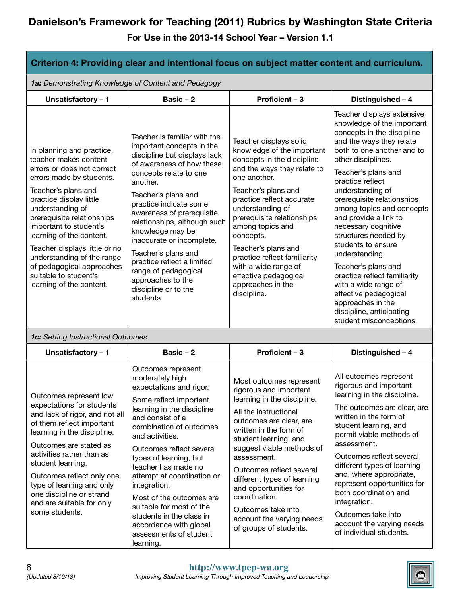| Criterion 4: Providing clear and intentional focus on subject matter content and curriculum.                                                                                                                                                                                                                                                                                                                            |                                                                                                                                                                                                                                                                                                                                                                                                                                                                            |                                                                                                                                                                                                                                                                                                                                                                                                                       |                                                                                                                                                                                                                                                                                                                                                                                                                                                                                                                                                                                                      |
|-------------------------------------------------------------------------------------------------------------------------------------------------------------------------------------------------------------------------------------------------------------------------------------------------------------------------------------------------------------------------------------------------------------------------|----------------------------------------------------------------------------------------------------------------------------------------------------------------------------------------------------------------------------------------------------------------------------------------------------------------------------------------------------------------------------------------------------------------------------------------------------------------------------|-----------------------------------------------------------------------------------------------------------------------------------------------------------------------------------------------------------------------------------------------------------------------------------------------------------------------------------------------------------------------------------------------------------------------|------------------------------------------------------------------------------------------------------------------------------------------------------------------------------------------------------------------------------------------------------------------------------------------------------------------------------------------------------------------------------------------------------------------------------------------------------------------------------------------------------------------------------------------------------------------------------------------------------|
| 1a: Demonstrating Knowledge of Content and Pedagogy                                                                                                                                                                                                                                                                                                                                                                     |                                                                                                                                                                                                                                                                                                                                                                                                                                                                            |                                                                                                                                                                                                                                                                                                                                                                                                                       |                                                                                                                                                                                                                                                                                                                                                                                                                                                                                                                                                                                                      |
| Unsatisfactory - 1                                                                                                                                                                                                                                                                                                                                                                                                      | Basic $-2$                                                                                                                                                                                                                                                                                                                                                                                                                                                                 | Proficient - 3                                                                                                                                                                                                                                                                                                                                                                                                        | Distinguished - 4                                                                                                                                                                                                                                                                                                                                                                                                                                                                                                                                                                                    |
| In planning and practice,<br>teacher makes content<br>errors or does not correct<br>errors made by students.<br>Teacher's plans and<br>practice display little<br>understanding of<br>prerequisite relationships<br>important to student's<br>learning of the content.<br>Teacher displays little or no<br>understanding of the range<br>of pedagogical approaches<br>suitable to student's<br>learning of the content. | Teacher is familiar with the<br>important concepts in the<br>discipline but displays lack<br>of awareness of how these<br>concepts relate to one<br>another.<br>Teacher's plans and<br>practice indicate some<br>awareness of prerequisite<br>relationships, although such<br>knowledge may be<br>inaccurate or incomplete.<br>Teacher's plans and<br>practice reflect a limited<br>range of pedagogical<br>approaches to the<br>discipline or to the<br>students.         | Teacher displays solid<br>knowledge of the important<br>concepts in the discipline<br>and the ways they relate to<br>one another.<br>Teacher's plans and<br>practice reflect accurate<br>understanding of<br>prerequisite relationships<br>among topics and<br>concepts.<br>Teacher's plans and<br>practice reflect familiarity<br>with a wide range of<br>effective pedagogical<br>approaches in the<br>discipline.  | Teacher displays extensive<br>knowledge of the important<br>concepts in the discipline<br>and the ways they relate<br>both to one another and to<br>other disciplines.<br>Teacher's plans and<br>practice reflect<br>understanding of<br>prerequisite relationships<br>among topics and concepts<br>and provide a link to<br>necessary cognitive<br>structures needed by<br>students to ensure<br>understanding.<br>Teacher's plans and<br>practice reflect familiarity<br>with a wide range of<br>effective pedagogical<br>approaches in the<br>discipline, anticipating<br>student misconceptions. |
| 1c: Setting Instructional Outcomes                                                                                                                                                                                                                                                                                                                                                                                      |                                                                                                                                                                                                                                                                                                                                                                                                                                                                            |                                                                                                                                                                                                                                                                                                                                                                                                                       |                                                                                                                                                                                                                                                                                                                                                                                                                                                                                                                                                                                                      |
| Unsatisfactory - 1                                                                                                                                                                                                                                                                                                                                                                                                      | Basic-2                                                                                                                                                                                                                                                                                                                                                                                                                                                                    | Proficient - 3                                                                                                                                                                                                                                                                                                                                                                                                        | Distinguished - 4                                                                                                                                                                                                                                                                                                                                                                                                                                                                                                                                                                                    |
| Outcomes represent low<br>expectations for students<br>and lack of rigor, and not all<br>of them reflect important<br>learning in the discipline.<br>Outcomes are stated as<br>activities rather than as<br>student learning.<br>Outcomes reflect only one<br>type of learning and only<br>one discipline or strand<br>and are suitable for only<br>some students.                                                      | Outcomes represent<br>moderately high<br>expectations and rigor.<br>Some reflect important<br>learning in the discipline<br>and consist of a<br>combination of outcomes<br>and activities.<br>Outcomes reflect several<br>types of learning, but<br>teacher has made no<br>attempt at coordination or<br>integration.<br>Most of the outcomes are<br>suitable for most of the<br>students in the class in<br>accordance with global<br>assessments of student<br>learning. | Most outcomes represent<br>rigorous and important<br>learning in the discipline.<br>All the instructional<br>outcomes are clear, are<br>written in the form of<br>student learning, and<br>suggest viable methods of<br>assessment.<br>Outcomes reflect several<br>different types of learning<br>and opportunities for<br>coordination.<br>Outcomes take into<br>account the varying needs<br>of groups of students. | All outcomes represent<br>rigorous and important<br>learning in the discipline.<br>The outcomes are clear, are<br>written in the form of<br>student learning, and<br>permit viable methods of<br>assessment.<br>Outcomes reflect several<br>different types of learning<br>and, where appropriate,<br>represent opportunities for<br>both coordination and<br>integration.<br>Outcomes take into<br>account the varying needs<br>of individual students.                                                                                                                                             |

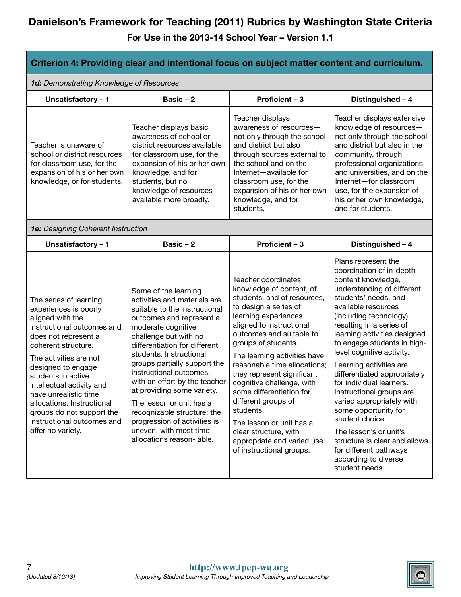| Criterion 4: Providing clear and intentional focus on subject matter content and curriculum.                                                                                                                                                                                                                                                                                               |                                                                                                                                                                                                                                                                                                                                                                                                                                                                                                          |                                                                                                                                                                                                                                                                                                                                                                                                                                                                                                                          |                                                                                                                                                                                                                                                                                                                                                                                                                                                                                                                                                                                                                                 |
|--------------------------------------------------------------------------------------------------------------------------------------------------------------------------------------------------------------------------------------------------------------------------------------------------------------------------------------------------------------------------------------------|----------------------------------------------------------------------------------------------------------------------------------------------------------------------------------------------------------------------------------------------------------------------------------------------------------------------------------------------------------------------------------------------------------------------------------------------------------------------------------------------------------|--------------------------------------------------------------------------------------------------------------------------------------------------------------------------------------------------------------------------------------------------------------------------------------------------------------------------------------------------------------------------------------------------------------------------------------------------------------------------------------------------------------------------|---------------------------------------------------------------------------------------------------------------------------------------------------------------------------------------------------------------------------------------------------------------------------------------------------------------------------------------------------------------------------------------------------------------------------------------------------------------------------------------------------------------------------------------------------------------------------------------------------------------------------------|
| 1d: Demonstrating Knowledge of Resources                                                                                                                                                                                                                                                                                                                                                   |                                                                                                                                                                                                                                                                                                                                                                                                                                                                                                          |                                                                                                                                                                                                                                                                                                                                                                                                                                                                                                                          |                                                                                                                                                                                                                                                                                                                                                                                                                                                                                                                                                                                                                                 |
| Unsatisfactory - 1                                                                                                                                                                                                                                                                                                                                                                         | Basic $-2$                                                                                                                                                                                                                                                                                                                                                                                                                                                                                               | Proficient - 3                                                                                                                                                                                                                                                                                                                                                                                                                                                                                                           | Distinguished - 4                                                                                                                                                                                                                                                                                                                                                                                                                                                                                                                                                                                                               |
| Teacher is unaware of<br>school or district resources<br>for classroom use, for the<br>expansion of his or her own<br>knowledge, or for students.                                                                                                                                                                                                                                          | Teacher displays basic<br>awareness of school or<br>district resources available<br>for classroom use, for the<br>expansion of his or her own<br>knowledge, and for<br>students, but no<br>knowledge of resources<br>available more broadly.                                                                                                                                                                                                                                                             | Teacher displays<br>awareness of resources-<br>not only through the school<br>and district but also<br>through sources external to<br>the school and on the<br>Internet-available for<br>classroom use, for the<br>expansion of his or her own<br>knowledge, and for<br>students.                                                                                                                                                                                                                                        | Teacher displays extensive<br>knowledge of resources-<br>not only through the school<br>and district but also in the<br>community, through<br>professional organizations<br>and universities, and on the<br>Internet-for classroom<br>use, for the expansion of<br>his or her own knowledge,<br>and for students.                                                                                                                                                                                                                                                                                                               |
| 1e: Designing Coherent Instruction                                                                                                                                                                                                                                                                                                                                                         |                                                                                                                                                                                                                                                                                                                                                                                                                                                                                                          |                                                                                                                                                                                                                                                                                                                                                                                                                                                                                                                          |                                                                                                                                                                                                                                                                                                                                                                                                                                                                                                                                                                                                                                 |
| Unsatisfactory - 1                                                                                                                                                                                                                                                                                                                                                                         | Basic $-2$                                                                                                                                                                                                                                                                                                                                                                                                                                                                                               | Proficient - 3                                                                                                                                                                                                                                                                                                                                                                                                                                                                                                           | Distinguished - 4                                                                                                                                                                                                                                                                                                                                                                                                                                                                                                                                                                                                               |
| The series of learning<br>experiences is poorly<br>aligned with the<br>instructional outcomes and<br>does not represent a<br>coherent structure.<br>The activities are not<br>designed to engage<br>students in active<br>intellectual activity and<br>have unrealistic time<br>allocations. Instructional<br>groups do not support the<br>instructional outcomes and<br>offer no variety. | Some of the learning<br>activities and materials are<br>suitable to the instructional<br>outcomes and represent a<br>moderate cognitive<br>challenge but with no<br>differentiation for different<br>students. Instructional<br>groups partially support the<br>instructional outcomes,<br>with an effort by the teacher<br>at providing some variety.<br>The lesson or unit has a<br>recognizable structure; the<br>progression of activities is<br>uneven, with most time<br>allocations reason- able. | Teacher coordinates<br>knowledge of content, of<br>students, and of resources,<br>to design a series of<br>learning experiences<br>aligned to instructional<br>outcomes and suitable to<br>groups of students.<br>The learning activities have<br>reasonable time allocations;<br>they represent significant<br>cognitive challenge, with<br>some differentiation for<br>different groups of<br>students.<br>The lesson or unit has a<br>clear structure, with<br>appropriate and varied use<br>of instructional groups. | Plans represent the<br>coordination of in-depth<br>content knowledge,<br>understanding of different<br>students' needs, and<br>available resources<br>(including technology),<br>resulting in a series of<br>learning activities designed<br>to engage students in high-<br>level cognitive activity.<br>Learning activities are<br>differentiated appropriately<br>for individual learners.<br>Instructional groups are<br>varied appropriately with<br>some opportunity for<br>student choice.<br>The lesson's or unit's<br>structure is clear and allows<br>for different pathways<br>according to diverse<br>student needs. |

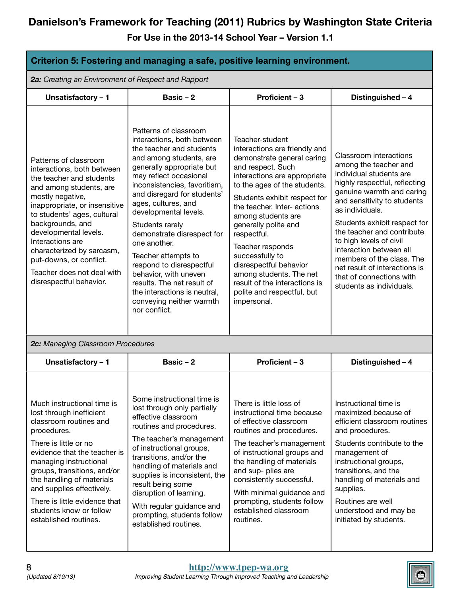| Criterion 5: Fostering and managing a safe, positive learning environment.                                                                                                                                                                                                                                                                                                       |                                                                                                                                                                                                                                                                                                                                                                                                                                                                                                                                          |                                                                                                                                                                                                                                                                                                                                                                                                                                                                           |                                                                                                                                                                                                                                                                                                                                                                                                                                      |  |
|----------------------------------------------------------------------------------------------------------------------------------------------------------------------------------------------------------------------------------------------------------------------------------------------------------------------------------------------------------------------------------|------------------------------------------------------------------------------------------------------------------------------------------------------------------------------------------------------------------------------------------------------------------------------------------------------------------------------------------------------------------------------------------------------------------------------------------------------------------------------------------------------------------------------------------|---------------------------------------------------------------------------------------------------------------------------------------------------------------------------------------------------------------------------------------------------------------------------------------------------------------------------------------------------------------------------------------------------------------------------------------------------------------------------|--------------------------------------------------------------------------------------------------------------------------------------------------------------------------------------------------------------------------------------------------------------------------------------------------------------------------------------------------------------------------------------------------------------------------------------|--|
| 2a: Creating an Environment of Respect and Rapport                                                                                                                                                                                                                                                                                                                               |                                                                                                                                                                                                                                                                                                                                                                                                                                                                                                                                          |                                                                                                                                                                                                                                                                                                                                                                                                                                                                           |                                                                                                                                                                                                                                                                                                                                                                                                                                      |  |
| Unsatisfactory - 1                                                                                                                                                                                                                                                                                                                                                               | Basic $-2$                                                                                                                                                                                                                                                                                                                                                                                                                                                                                                                               | Proficient - 3                                                                                                                                                                                                                                                                                                                                                                                                                                                            | Distinguished - 4                                                                                                                                                                                                                                                                                                                                                                                                                    |  |
| Patterns of classroom<br>interactions, both between<br>the teacher and students<br>and among students, are<br>mostly negative,<br>inappropriate, or insensitive<br>to students' ages, cultural<br>backgrounds, and<br>developmental levels.<br>Interactions are<br>characterized by sarcasm,<br>put-downs, or conflict.<br>Teacher does not deal with<br>disrespectful behavior. | Patterns of classroom<br>interactions, both between<br>the teacher and students<br>and among students, are<br>generally appropriate but<br>may reflect occasional<br>inconsistencies, favoritism,<br>and disregard for students'<br>ages, cultures, and<br>developmental levels.<br>Students rarely<br>demonstrate disrespect for<br>one another.<br>Teacher attempts to<br>respond to disrespectful<br>behavior, with uneven<br>results. The net result of<br>the interactions is neutral,<br>conveying neither warmth<br>nor conflict. | Teacher-student<br>interactions are friendly and<br>demonstrate general caring<br>and respect. Such<br>interactions are appropriate<br>to the ages of the students.<br>Students exhibit respect for<br>the teacher. Inter- actions<br>among students are<br>generally polite and<br>respectful.<br>Teacher responds<br>successfully to<br>disrespectful behavior<br>among students. The net<br>result of the interactions is<br>polite and respectful, but<br>impersonal. | Classroom interactions<br>among the teacher and<br>individual students are<br>highly respectful, reflecting<br>genuine warmth and caring<br>and sensitivity to students<br>as individuals.<br>Students exhibit respect for<br>the teacher and contribute<br>to high levels of civil<br>interaction between all<br>members of the class. The<br>net result of interactions is<br>that of connections with<br>students as individuals. |  |
| 2c: Managing Classroom Procedures                                                                                                                                                                                                                                                                                                                                                |                                                                                                                                                                                                                                                                                                                                                                                                                                                                                                                                          |                                                                                                                                                                                                                                                                                                                                                                                                                                                                           |                                                                                                                                                                                                                                                                                                                                                                                                                                      |  |
| Unsatisfactory - 1                                                                                                                                                                                                                                                                                                                                                               | Basic $-2$                                                                                                                                                                                                                                                                                                                                                                                                                                                                                                                               | Proficient - 3                                                                                                                                                                                                                                                                                                                                                                                                                                                            | Distinguished - 4                                                                                                                                                                                                                                                                                                                                                                                                                    |  |
| Much instructional time is<br>lost through inefficient<br>classroom routines and<br>procedures.<br>There is little or no<br>evidence that the teacher is<br>managing instructional<br>groups, transitions, and/or<br>the handling of materials<br>and supplies effectively.<br>There is little evidence that<br>students know or follow<br>established routines.                 | Some instructional time is<br>lost through only partially<br>effective classroom<br>routines and procedures.<br>The teacher's management<br>of instructional groups,<br>transitions, and/or the<br>handling of materials and<br>supplies is inconsistent, the<br>result being some<br>disruption of learning.<br>With regular guidance and<br>prompting, students follow<br>established routines.                                                                                                                                        | There is little loss of<br>instructional time because<br>of effective classroom<br>routines and procedures.<br>The teacher's management<br>of instructional groups and<br>the handling of materials<br>and sup- plies are<br>consistently successful.<br>With minimal guidance and<br>prompting, students follow<br>established classroom<br>routines.                                                                                                                    | Instructional time is<br>maximized because of<br>efficient classroom routines<br>and procedures.<br>Students contribute to the<br>management of<br>instructional groups,<br>transitions, and the<br>handling of materials and<br>supplies.<br>Routines are well<br>understood and may be<br>initiated by students.                                                                                                                   |  |

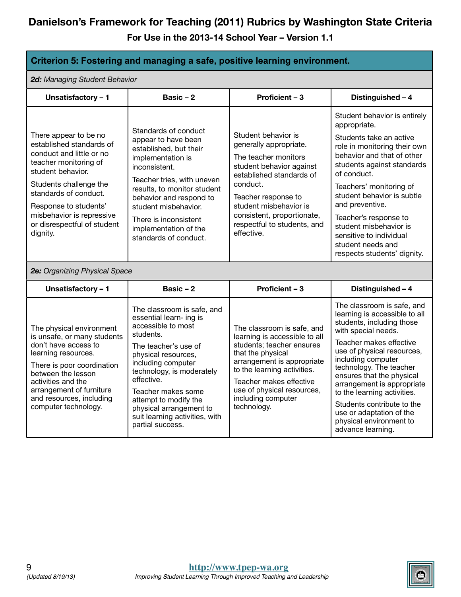**For Use in the 2013-14 School Year – Version 1.1**

#### **Criterion 5: Fostering and managing a safe, positive learning environment.**

*2d: Managing Student Behavior*

| <b>a.</b> managing otaacht <i>D</i> enanoi                                                                                                                                                                                                                                      |                                                                                                                                                                                                                                                                                                                                          |                                                                                                                                                                                                                                                                          |                                                                                                                                                                                                                                                                                                                                                                                                                               |  |
|---------------------------------------------------------------------------------------------------------------------------------------------------------------------------------------------------------------------------------------------------------------------------------|------------------------------------------------------------------------------------------------------------------------------------------------------------------------------------------------------------------------------------------------------------------------------------------------------------------------------------------|--------------------------------------------------------------------------------------------------------------------------------------------------------------------------------------------------------------------------------------------------------------------------|-------------------------------------------------------------------------------------------------------------------------------------------------------------------------------------------------------------------------------------------------------------------------------------------------------------------------------------------------------------------------------------------------------------------------------|--|
| Unsatisfactory - 1                                                                                                                                                                                                                                                              | Basic $-2$                                                                                                                                                                                                                                                                                                                               | Proficient - 3                                                                                                                                                                                                                                                           | Distinguished - 4                                                                                                                                                                                                                                                                                                                                                                                                             |  |
| There appear to be no<br>established standards of<br>conduct and little or no<br>teacher monitoring of<br>student behavior.<br>Students challenge the<br>standards of conduct.<br>Response to students'<br>misbehavior is repressive<br>or disrespectful of student<br>dignity. | Standards of conduct<br>appear to have been<br>established, but their<br>implementation is<br>inconsistent.<br>Teacher tries, with uneven<br>results, to monitor student<br>behavior and respond to<br>student misbehavior.<br>There is inconsistent<br>implementation of the<br>standards of conduct.                                   | Student behavior is<br>generally appropriate.<br>The teacher monitors<br>student behavior against<br>established standards of<br>conduct.<br>Teacher response to<br>student misbehavior is<br>consistent, proportionate,<br>respectful to students, and<br>effective.    | Student behavior is entirely<br>appropriate.<br>Students take an active<br>role in monitoring their own<br>behavior and that of other<br>students against standards<br>of conduct.<br>Teachers' monitoring of<br>student behavior is subtle<br>and preventive.<br>Teacher's response to<br>student misbehavior is<br>sensitive to individual<br>student needs and<br>respects students' dignity.                              |  |
| 2e: Organizing Physical Space                                                                                                                                                                                                                                                   |                                                                                                                                                                                                                                                                                                                                          |                                                                                                                                                                                                                                                                          |                                                                                                                                                                                                                                                                                                                                                                                                                               |  |
| Unsatisfactory - 1                                                                                                                                                                                                                                                              | Basic $-2$                                                                                                                                                                                                                                                                                                                               | Proficient - 3                                                                                                                                                                                                                                                           | Distinguished - 4                                                                                                                                                                                                                                                                                                                                                                                                             |  |
| The physical environment<br>is unsafe, or many students<br>don't have access to<br>learning resources.<br>There is poor coordination<br>between the lesson<br>activities and the<br>arrangement of furniture<br>and resources, including<br>computer technology.                | The classroom is safe, and<br>essential learn- ing is<br>accessible to most<br>students.<br>The teacher's use of<br>physical resources,<br>including computer<br>technology, is moderately<br>effective.<br>Teacher makes some<br>attempt to modify the<br>physical arrangement to<br>suit learning activities, with<br>partial success. | The classroom is safe, and<br>learning is accessible to all<br>students; teacher ensures<br>that the physical<br>arrangement is appropriate<br>to the learning activities.<br>Teacher makes effective<br>use of physical resources,<br>including computer<br>technology. | The classroom is safe, and<br>learning is accessible to all<br>students, including those<br>with special needs.<br>Teacher makes effective<br>use of physical resources,<br>including computer<br>technology. The teacher<br>ensures that the physical<br>arrangement is appropriate<br>to the learning activities.<br>Students contribute to the<br>use or adaptation of the<br>physical environment to<br>advance learning. |  |

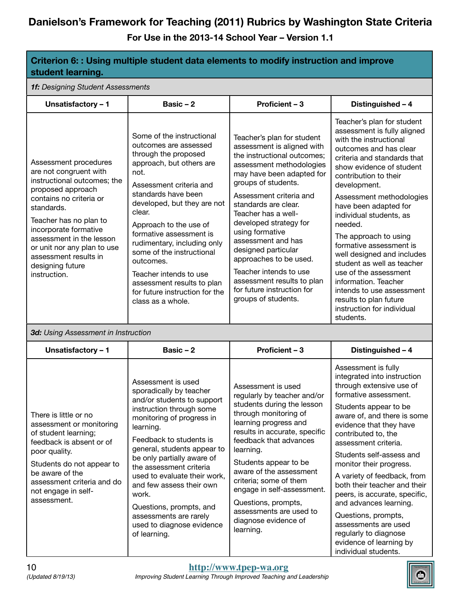| Criterion 6: : Using multiple student data elements to modify instruction and improve<br>student learning.                                                                                                                                                                                                              |                                                                                                                                                                                                                                                                                                                                                                                                                                                        |                                                                                                                                                                                                                                                                                                                                                                                                                                                                                    |                                                                                                                                                                                                                                                                                                                                                                                                                                                                                                                                                                                 |  |  |
|-------------------------------------------------------------------------------------------------------------------------------------------------------------------------------------------------------------------------------------------------------------------------------------------------------------------------|--------------------------------------------------------------------------------------------------------------------------------------------------------------------------------------------------------------------------------------------------------------------------------------------------------------------------------------------------------------------------------------------------------------------------------------------------------|------------------------------------------------------------------------------------------------------------------------------------------------------------------------------------------------------------------------------------------------------------------------------------------------------------------------------------------------------------------------------------------------------------------------------------------------------------------------------------|---------------------------------------------------------------------------------------------------------------------------------------------------------------------------------------------------------------------------------------------------------------------------------------------------------------------------------------------------------------------------------------------------------------------------------------------------------------------------------------------------------------------------------------------------------------------------------|--|--|
|                                                                                                                                                                                                                                                                                                                         | 1f: Designing Student Assessments                                                                                                                                                                                                                                                                                                                                                                                                                      |                                                                                                                                                                                                                                                                                                                                                                                                                                                                                    |                                                                                                                                                                                                                                                                                                                                                                                                                                                                                                                                                                                 |  |  |
| Unsatisfactory - 1                                                                                                                                                                                                                                                                                                      | Basic $-2$                                                                                                                                                                                                                                                                                                                                                                                                                                             | Proficient - 3                                                                                                                                                                                                                                                                                                                                                                                                                                                                     | Distinguished - 4                                                                                                                                                                                                                                                                                                                                                                                                                                                                                                                                                               |  |  |
| Assessment procedures<br>are not congruent with<br>instructional outcomes; the<br>proposed approach<br>contains no criteria or<br>standards.<br>Teacher has no plan to<br>incorporate formative<br>assessment in the lesson<br>or unit nor any plan to use<br>assessment results in<br>designing future<br>instruction. | Some of the instructional<br>outcomes are assessed<br>through the proposed<br>approach, but others are<br>not.<br>Assessment criteria and<br>standards have been<br>developed, but they are not<br>clear.<br>Approach to the use of<br>formative assessment is<br>rudimentary, including only<br>some of the instructional<br>outcomes.<br>Teacher intends to use<br>assessment results to plan<br>for future instruction for the<br>class as a whole. | Teacher's plan for student<br>assessment is aligned with<br>the instructional outcomes;<br>assessment methodologies<br>may have been adapted for<br>groups of students.<br>Assessment criteria and<br>standards are clear.<br>Teacher has a well-<br>developed strategy for<br>using formative<br>assessment and has<br>designed particular<br>approaches to be used.<br>Teacher intends to use<br>assessment results to plan<br>for future instruction for<br>groups of students. | Teacher's plan for student<br>assessment is fully aligned<br>with the instructional<br>outcomes and has clear<br>criteria and standards that<br>show evidence of student<br>contribution to their<br>development.<br>Assessment methodologies<br>have been adapted for<br>individual students, as<br>needed.<br>The approach to using<br>formative assessment is<br>well designed and includes<br>student as well as teacher<br>use of the assessment<br>information. Teacher<br>intends to use assessment<br>results to plan future<br>instruction for individual<br>students. |  |  |
| 3d: Using Assessment in Instruction                                                                                                                                                                                                                                                                                     |                                                                                                                                                                                                                                                                                                                                                                                                                                                        |                                                                                                                                                                                                                                                                                                                                                                                                                                                                                    |                                                                                                                                                                                                                                                                                                                                                                                                                                                                                                                                                                                 |  |  |
| Unsatisfactory - 1                                                                                                                                                                                                                                                                                                      | Basic $-2$                                                                                                                                                                                                                                                                                                                                                                                                                                             | Proficient - 3                                                                                                                                                                                                                                                                                                                                                                                                                                                                     | Distinguished - 4                                                                                                                                                                                                                                                                                                                                                                                                                                                                                                                                                               |  |  |
| There is little or no<br>assessment or monitoring<br>of student learning;<br>feedback is absent or of<br>poor quality.<br>Students do not appear to<br>be aware of the<br>assessment criteria and do<br>not engage in self-<br>assessment.                                                                              | Assessment is used<br>sporadically by teacher<br>and/or students to support<br>instruction through some<br>monitoring of progress in<br>learning.<br>Feedback to students is<br>general, students appear to<br>be only partially aware of<br>the assessment criteria<br>used to evaluate their work,<br>and few assess their own<br>work.<br>Questions, prompts, and<br>assessments are rarely<br>used to diagnose evidence<br>of learning.            | Assessment is used<br>regularly by teacher and/or<br>students during the lesson<br>through monitoring of<br>learning progress and<br>results in accurate, specific<br>feedback that advances<br>learning.<br>Students appear to be<br>aware of the assessment<br>criteria; some of them<br>engage in self-assessment.<br>Questions, prompts,<br>assessments are used to<br>diagnose evidence of<br>learning.                                                                       | Assessment is fully<br>integrated into instruction<br>through extensive use of<br>formative assessment.<br>Students appear to be<br>aware of, and there is some<br>evidence that they have<br>contributed to, the<br>assessment criteria.<br>Students self-assess and<br>monitor their progress.<br>A variety of feedback, from<br>both their teacher and their<br>peers, is accurate, specific,<br>and advances learning.<br>Questions, prompts,<br>assessments are used<br>regularly to diagnose<br>evidence of learning by<br>individual students.                           |  |  |

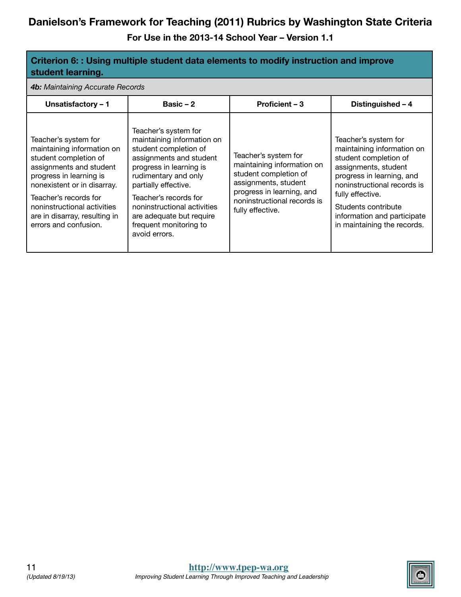| Criterion 6: : Using multiple student data elements to modify instruction and improve<br>student learning.                                                                                                                                                                         |                                                                                                                                                                                                                                                                                                                  |                                                                                                                                                                                     |                                                                                                                                                                                                                                                                          |  |
|------------------------------------------------------------------------------------------------------------------------------------------------------------------------------------------------------------------------------------------------------------------------------------|------------------------------------------------------------------------------------------------------------------------------------------------------------------------------------------------------------------------------------------------------------------------------------------------------------------|-------------------------------------------------------------------------------------------------------------------------------------------------------------------------------------|--------------------------------------------------------------------------------------------------------------------------------------------------------------------------------------------------------------------------------------------------------------------------|--|
| 4b: Maintaining Accurate Records                                                                                                                                                                                                                                                   |                                                                                                                                                                                                                                                                                                                  |                                                                                                                                                                                     |                                                                                                                                                                                                                                                                          |  |
| Proficient - 3<br>Basic $-2$<br>Distinguished - 4<br>Unsatisfactory - 1                                                                                                                                                                                                            |                                                                                                                                                                                                                                                                                                                  |                                                                                                                                                                                     |                                                                                                                                                                                                                                                                          |  |
| Teacher's system for<br>maintaining information on<br>student completion of<br>assignments and student<br>progress in learning is<br>nonexistent or in disarray.<br>Teacher's records for<br>noninstructional activities<br>are in disarray, resulting in<br>errors and confusion. | Teacher's system for<br>maintaining information on<br>student completion of<br>assignments and student<br>progress in learning is<br>rudimentary and only<br>partially effective.<br>Teacher's records for<br>noninstructional activities<br>are adequate but require<br>frequent monitoring to<br>avoid errors. | Teacher's system for<br>maintaining information on<br>student completion of<br>assignments, student<br>progress in learning, and<br>noninstructional records is<br>fully effective. | Teacher's system for<br>maintaining information on<br>student completion of<br>assignments, student<br>progress in learning, and<br>noninstructional records is<br>fully effective.<br>Students contribute<br>information and participate<br>in maintaining the records. |  |

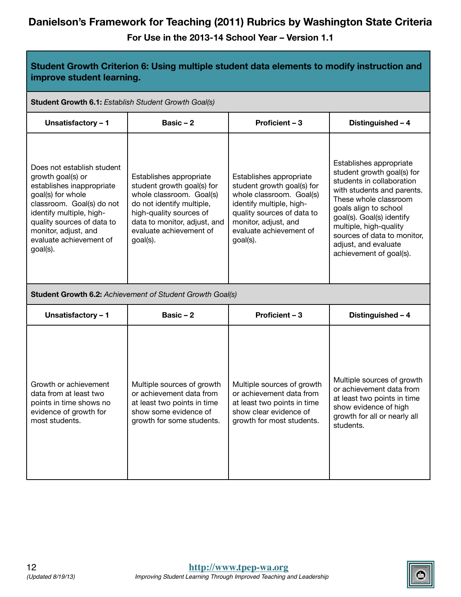| Student Growth Criterion 6: Using multiple student data elements to modify instruction and<br>improve student learning.                                                                                                                                 |                                                                                                                                                                                                                  |                                                                                                                                                                                                            |                                                                                                                                                                                                                                                                                                             |  |
|---------------------------------------------------------------------------------------------------------------------------------------------------------------------------------------------------------------------------------------------------------|------------------------------------------------------------------------------------------------------------------------------------------------------------------------------------------------------------------|------------------------------------------------------------------------------------------------------------------------------------------------------------------------------------------------------------|-------------------------------------------------------------------------------------------------------------------------------------------------------------------------------------------------------------------------------------------------------------------------------------------------------------|--|
| Student Growth 6.1: Establish Student Growth Goal(s)                                                                                                                                                                                                    |                                                                                                                                                                                                                  |                                                                                                                                                                                                            |                                                                                                                                                                                                                                                                                                             |  |
| Unsatisfactory - 1                                                                                                                                                                                                                                      | Basic $-2$                                                                                                                                                                                                       | Proficient - 3                                                                                                                                                                                             | Distinguished - 4                                                                                                                                                                                                                                                                                           |  |
| Does not establish student<br>growth goal(s) or<br>establishes inappropriate<br>goal(s) for whole<br>classroom. Goal(s) do not<br>identify multiple, high-<br>quality sources of data to<br>monitor, adjust, and<br>evaluate achievement of<br>goal(s). | Establishes appropriate<br>student growth goal(s) for<br>whole classroom. Goal(s)<br>do not identify multiple,<br>high-quality sources of<br>data to monitor, adjust, and<br>evaluate achievement of<br>goal(s). | Establishes appropriate<br>student growth goal(s) for<br>whole classroom. Goal(s)<br>identify multiple, high-<br>quality sources of data to<br>monitor, adjust, and<br>evaluate achievement of<br>goal(s). | Establishes appropriate<br>student growth goal(s) for<br>students in collaboration<br>with students and parents.<br>These whole classroom<br>goals align to school<br>goal(s). Goal(s) identify<br>multiple, high-quality<br>sources of data to monitor,<br>adjust, and evaluate<br>achievement of goal(s). |  |
|                                                                                                                                                                                                                                                         | <b>Student Growth 6.2: Achievement of Student Growth Goal(s)</b>                                                                                                                                                 |                                                                                                                                                                                                            |                                                                                                                                                                                                                                                                                                             |  |
| Unsatisfactory - 1                                                                                                                                                                                                                                      | Basic-2                                                                                                                                                                                                          | Proficient - 3                                                                                                                                                                                             | Distinguished - 4                                                                                                                                                                                                                                                                                           |  |
| Growth or achievement<br>data from at least two<br>points in time shows no<br>evidence of growth for<br>most students.                                                                                                                                  | Multiple sources of growth<br>or achievement data from<br>at least two points in time<br>show some evidence of<br>growth for some students.                                                                      | Multiple sources of growth<br>or achievement data from<br>at least two points in time<br>show clear evidence of<br>growth for most students.                                                               | Multiple sources of growth<br>or achievement data from<br>at least two points in time<br>show evidence of high<br>growth for all or nearly all<br>students.                                                                                                                                                 |  |

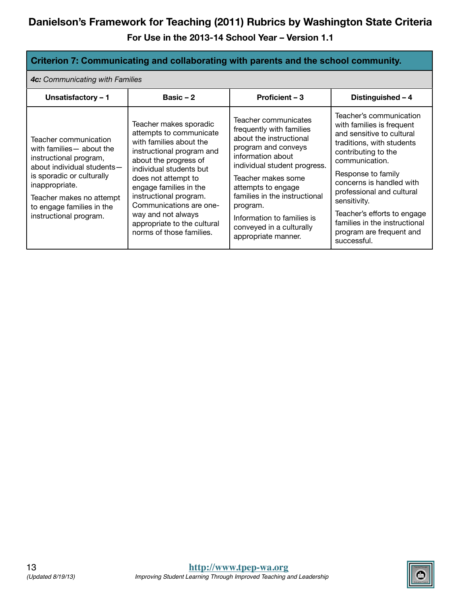**For Use in the 2013-14 School Year – Version 1.1**

#### **Criterion 7: Communicating and collaborating with parents and the school community.**

*4c: Communicating with Families*

| Unsatisfactory - 1                                                                                                                                                                                                                           | Basic $-2$                                                                                                                                                                                                                                                                                                                                           | Proficient - 3                                                                                                                                                                                                                                                                                                                    | Distinguished - 4                                                                                                                                                                                                                                                                                                                                                 |
|----------------------------------------------------------------------------------------------------------------------------------------------------------------------------------------------------------------------------------------------|------------------------------------------------------------------------------------------------------------------------------------------------------------------------------------------------------------------------------------------------------------------------------------------------------------------------------------------------------|-----------------------------------------------------------------------------------------------------------------------------------------------------------------------------------------------------------------------------------------------------------------------------------------------------------------------------------|-------------------------------------------------------------------------------------------------------------------------------------------------------------------------------------------------------------------------------------------------------------------------------------------------------------------------------------------------------------------|
| Teacher communication<br>with families - about the<br>instructional program,<br>about individual students-<br>is sporadic or culturally<br>inappropriate.<br>Teacher makes no attempt<br>to engage families in the<br>instructional program. | Teacher makes sporadic<br>attempts to communicate<br>with families about the<br>instructional program and<br>about the progress of<br>individual students but<br>does not attempt to<br>engage families in the<br>instructional program.<br>Communications are one-<br>way and not always<br>appropriate to the cultural<br>norms of those families. | Teacher communicates<br>frequently with families<br>about the instructional<br>program and conveys<br>information about<br>individual student progress.<br>Teacher makes some<br>attempts to engage<br>families in the instructional<br>program.<br>Information to families is<br>conveyed in a culturally<br>appropriate manner. | Teacher's communication<br>with families is frequent<br>and sensitive to cultural<br>traditions, with students<br>contributing to the<br>communication.<br>Response to family<br>concerns is handled with<br>professional and cultural<br>sensitivity.<br>Teacher's efforts to engage<br>families in the instructional<br>program are frequent and<br>successful. |

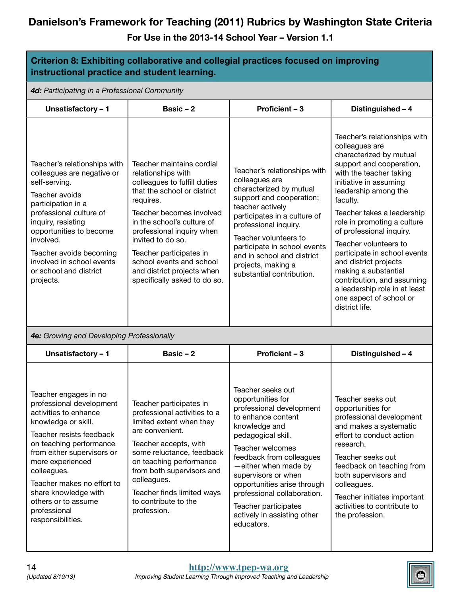| Criterion 8: Exhibiting collaborative and collegial practices focused on improving<br>instructional practice and student learning.                                                                                                                                                                                                          |                                                                                                                                                                                                                                                                                                                                                              |                                                                                                                                                                                                                                                                                                                                                                   |                                                                                                                                                                                                                                                                                                                                                                                                                                                                                                               |  |  |
|---------------------------------------------------------------------------------------------------------------------------------------------------------------------------------------------------------------------------------------------------------------------------------------------------------------------------------------------|--------------------------------------------------------------------------------------------------------------------------------------------------------------------------------------------------------------------------------------------------------------------------------------------------------------------------------------------------------------|-------------------------------------------------------------------------------------------------------------------------------------------------------------------------------------------------------------------------------------------------------------------------------------------------------------------------------------------------------------------|---------------------------------------------------------------------------------------------------------------------------------------------------------------------------------------------------------------------------------------------------------------------------------------------------------------------------------------------------------------------------------------------------------------------------------------------------------------------------------------------------------------|--|--|
| 4d: Participating in a Professional Community                                                                                                                                                                                                                                                                                               |                                                                                                                                                                                                                                                                                                                                                              |                                                                                                                                                                                                                                                                                                                                                                   |                                                                                                                                                                                                                                                                                                                                                                                                                                                                                                               |  |  |
| Unsatisfactory - 1                                                                                                                                                                                                                                                                                                                          | Basic $-2$                                                                                                                                                                                                                                                                                                                                                   | Proficient - 3                                                                                                                                                                                                                                                                                                                                                    | Distinguished - 4                                                                                                                                                                                                                                                                                                                                                                                                                                                                                             |  |  |
| Teacher's relationships with<br>colleagues are negative or<br>self-serving.<br>Teacher avoids<br>participation in a<br>professional culture of<br>inquiry, resisting<br>opportunities to become<br>involved.<br>Teacher avoids becoming<br>involved in school events<br>or school and district<br>projects.                                 | Teacher maintains cordial<br>relationships with<br>colleagues to fulfill duties<br>that the school or district<br>requires.<br>Teacher becomes involved<br>in the school's culture of<br>professional inquiry when<br>invited to do so.<br>Teacher participates in<br>school events and school<br>and district projects when<br>specifically asked to do so. | Teacher's relationships with<br>colleagues are<br>characterized by mutual<br>support and cooperation;<br>teacher actively<br>participates in a culture of<br>professional inquiry.<br>Teacher volunteers to<br>participate in school events<br>and in school and district<br>projects, making a<br>substantial contribution.                                      | Teacher's relationships with<br>colleagues are<br>characterized by mutual<br>support and cooperation,<br>with the teacher taking<br>initiative in assuming<br>leadership among the<br>faculty.<br>Teacher takes a leadership<br>role in promoting a culture<br>of professional inquiry.<br>Teacher volunteers to<br>participate in school events<br>and district projects<br>making a substantial<br>contribution, and assuming<br>a leadership role in at least<br>one aspect of school or<br>district life. |  |  |
| 4e: Growing and Developing Professionally                                                                                                                                                                                                                                                                                                   |                                                                                                                                                                                                                                                                                                                                                              |                                                                                                                                                                                                                                                                                                                                                                   |                                                                                                                                                                                                                                                                                                                                                                                                                                                                                                               |  |  |
| Unsatisfactory - 1                                                                                                                                                                                                                                                                                                                          | Basic-2                                                                                                                                                                                                                                                                                                                                                      | Proficient - 3                                                                                                                                                                                                                                                                                                                                                    | Distinguished - 4                                                                                                                                                                                                                                                                                                                                                                                                                                                                                             |  |  |
| Teacher engages in no<br>professional development<br>activities to enhance<br>knowledge or skill.<br>Teacher resists feedback<br>on teaching performance<br>from either supervisors or<br>more experienced<br>colleagues.<br>Teacher makes no effort to<br>share knowledge with<br>others or to assume<br>professional<br>responsibilities. | Teacher participates in<br>professional activities to a<br>limited extent when they<br>are convenient.<br>Teacher accepts, with<br>some reluctance, feedback<br>on teaching performance<br>from both supervisors and<br>colleagues.<br>Teacher finds limited ways<br>to contribute to the<br>profession.                                                     | Teacher seeks out<br>opportunities for<br>professional development<br>to enhance content<br>knowledge and<br>pedagogical skill.<br>Teacher welcomes<br>feedback from colleagues<br>-either when made by<br>supervisors or when<br>opportunities arise through<br>professional collaboration.<br>Teacher participates<br>actively in assisting other<br>educators. | Teacher seeks out<br>opportunities for<br>professional development<br>and makes a systematic<br>effort to conduct action<br>research.<br>Teacher seeks out<br>feedback on teaching from<br>both supervisors and<br>colleagues.<br>Teacher initiates important<br>activities to contribute to<br>the profession.                                                                                                                                                                                               |  |  |

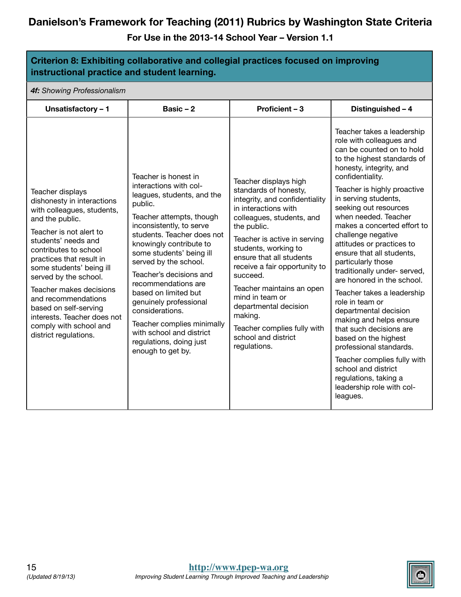| Criterion 8: Exhibiting collaborative and collegial practices focused on improving<br>instructional practice and student learning.                                                                                                                                                                                                                                                                                       |                                                                                                                                                                                                                                                                                                                                                                                                                                                                                                |                                                                                                                                                                                                                                                                                                                                                                                                                                                 |                                                                                                                                                                                                                                                                                                                                                                                                                                                                                                                                                                                                                                                                                                                                                                                         |  |  |
|--------------------------------------------------------------------------------------------------------------------------------------------------------------------------------------------------------------------------------------------------------------------------------------------------------------------------------------------------------------------------------------------------------------------------|------------------------------------------------------------------------------------------------------------------------------------------------------------------------------------------------------------------------------------------------------------------------------------------------------------------------------------------------------------------------------------------------------------------------------------------------------------------------------------------------|-------------------------------------------------------------------------------------------------------------------------------------------------------------------------------------------------------------------------------------------------------------------------------------------------------------------------------------------------------------------------------------------------------------------------------------------------|-----------------------------------------------------------------------------------------------------------------------------------------------------------------------------------------------------------------------------------------------------------------------------------------------------------------------------------------------------------------------------------------------------------------------------------------------------------------------------------------------------------------------------------------------------------------------------------------------------------------------------------------------------------------------------------------------------------------------------------------------------------------------------------------|--|--|
| 4f: Showing Professionalism                                                                                                                                                                                                                                                                                                                                                                                              |                                                                                                                                                                                                                                                                                                                                                                                                                                                                                                |                                                                                                                                                                                                                                                                                                                                                                                                                                                 |                                                                                                                                                                                                                                                                                                                                                                                                                                                                                                                                                                                                                                                                                                                                                                                         |  |  |
| Unsatisfactory - 1                                                                                                                                                                                                                                                                                                                                                                                                       | Basic $-2$                                                                                                                                                                                                                                                                                                                                                                                                                                                                                     | Proficient - 3                                                                                                                                                                                                                                                                                                                                                                                                                                  | Distinguished - 4                                                                                                                                                                                                                                                                                                                                                                                                                                                                                                                                                                                                                                                                                                                                                                       |  |  |
| Teacher displays<br>dishonesty in interactions<br>with colleagues, students,<br>and the public.<br>Teacher is not alert to<br>students' needs and<br>contributes to school<br>practices that result in<br>some students' being ill<br>served by the school.<br>Teacher makes decisions<br>and recommendations<br>based on self-serving<br>interests. Teacher does not<br>comply with school and<br>district regulations. | Teacher is honest in<br>interactions with col-<br>leagues, students, and the<br>public.<br>Teacher attempts, though<br>inconsistently, to serve<br>students. Teacher does not<br>knowingly contribute to<br>some students' being ill<br>served by the school.<br>Teacher's decisions and<br>recommendations are<br>based on limited but<br>genuinely professional<br>considerations.<br>Teacher complies minimally<br>with school and district<br>regulations, doing just<br>enough to get by. | Teacher displays high<br>standards of honesty,<br>integrity, and confidentiality<br>in interactions with<br>colleagues, students, and<br>the public.<br>Teacher is active in serving<br>students, working to<br>ensure that all students<br>receive a fair opportunity to<br>succeed.<br>Teacher maintains an open<br>mind in team or<br>departmental decision<br>making.<br>Teacher complies fully with<br>school and district<br>regulations. | Teacher takes a leadership<br>role with colleagues and<br>can be counted on to hold<br>to the highest standards of<br>honesty, integrity, and<br>confidentiality.<br>Teacher is highly proactive<br>in serving students,<br>seeking out resources<br>when needed. Teacher<br>makes a concerted effort to<br>challenge negative<br>attitudes or practices to<br>ensure that all students,<br>particularly those<br>traditionally under- served,<br>are honored in the school.<br>Teacher takes a leadership<br>role in team or<br>departmental decision<br>making and helps ensure<br>that such decisions are<br>based on the highest<br>professional standards.<br>Teacher complies fully with<br>school and district<br>regulations, taking a<br>leadership role with col-<br>leagues. |  |  |